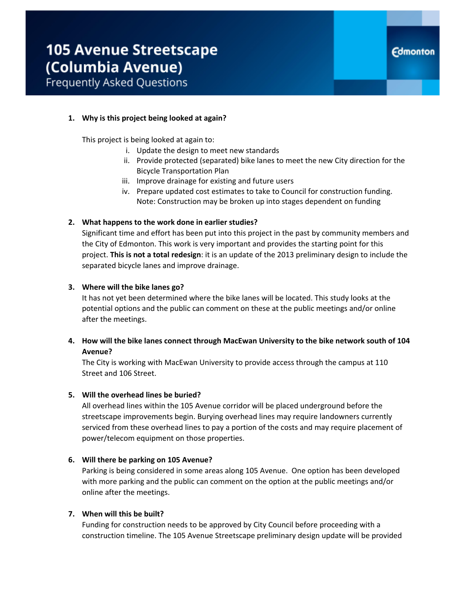### **1. Why is this project being looked at again?**

This project is being looked at again to:

- i. Update the design to meet new standards
- ii. Provide protected (separated) bike lanes to meet the new City direction for the Bicycle Transportation Plan
- iii. Improve drainage for existing and future users
- iv. Prepare updated cost estimates to take to Council for construction funding. Note: Construction may be broken up into stages dependent on funding

#### **2. What happens to the work done in earlier studies?**

Significant time and effort has been put into this project in the past by community members and the City of Edmonton. This work is very important and provides the starting point for this project. **This is not a total redesign**: it is an update of the 2013 preliminary design to include the separated bicycle lanes and improve drainage.

#### **3. Where will the bike lanes go?**

It has not yet been determined where the bike lanes will be located. This study looks at the potential options and the public can comment on these at the public meetings and/or online after the meetings.

## **4. How will the bike lanes connect through MacEwan University to the bike network south of 104 Avenue?**

The City is working with MacEwan University to provide access through the campus at 110 Street and 106 Street.

#### **5. Will the overhead lines be buried?**

All overhead lines within the 105 Avenue corridor will be placed underground before the streetscape improvements begin. Burying overhead lines may require landowners currently serviced from these overhead lines to pay a portion of the costs and may require placement of power/telecom equipment on those properties.

#### **6. Will there be parking on 105 Avenue?**

Parking is being considered in some areas along 105 Avenue. One option has been developed with more parking and the public can comment on the option at the public meetings and/or online after the meetings.

### **7. When will this be built?**

Funding for construction needs to be approved by City Council before proceeding with a construction timeline. The 105 Avenue Streetscape preliminary design update will be provided